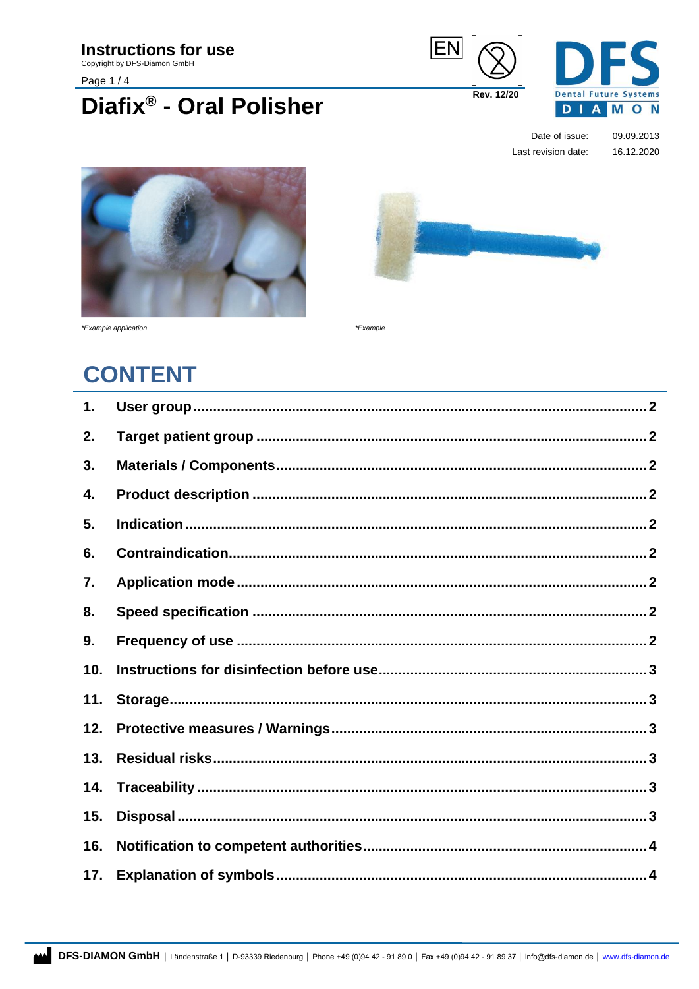**Instructions for use** 

Copyright by DFS-Diamon GmbH

Page 1/4

## Diafix® - Oral Polisher





Date of issue: 09.09.2013 Last revision date: 16.12.2020





\*Example application

\*Example

## **CONTENT**

| 1.  |  |
|-----|--|
| 2.  |  |
| 3.  |  |
| 4.  |  |
| 5.  |  |
| 6.  |  |
| 7.  |  |
| 8.  |  |
| 9.  |  |
| 10. |  |
| 11. |  |
| 12. |  |
| 13. |  |
| 14. |  |
| 15. |  |
| 16. |  |
| 17. |  |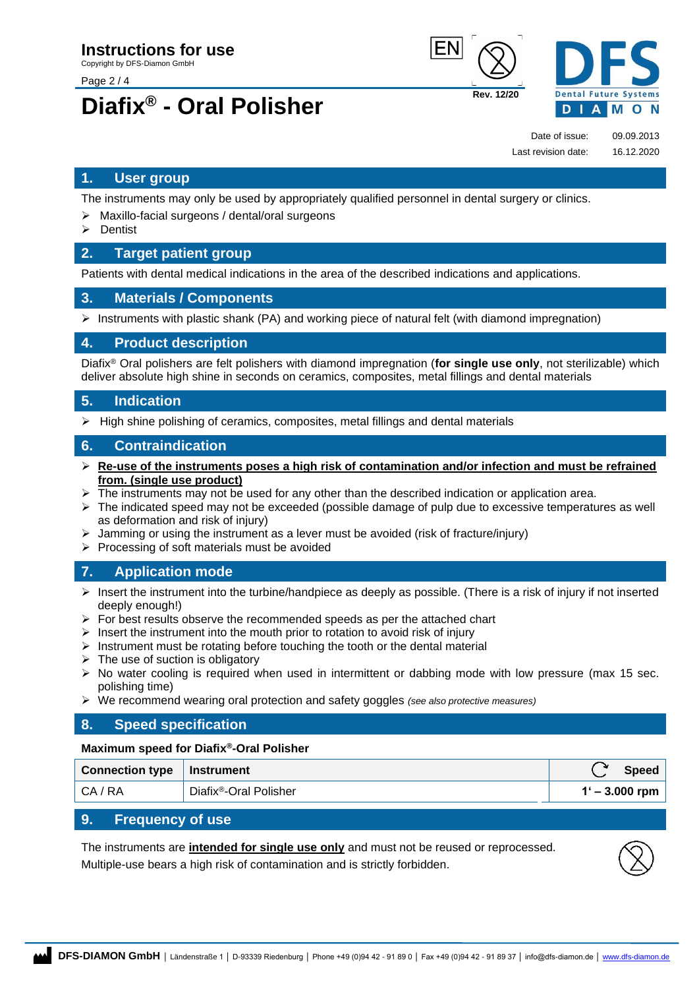Page 2 / 4

# **Diafix® - Oral Polisher Rev. 12/20**





Date of issue: 09.09.2013

Last revision date: 16.12.2020

### <span id="page-1-0"></span>**1. User group**

The instruments may only be used by appropriately qualified personnel in dental surgery or clinics.

- Maxillo-facial surgeons / dental/oral surgeons
- ➢ Dentist

#### <span id="page-1-1"></span>**2. Target patient group**

Patients with dental medical indications in the area of the described indications and applications.

#### <span id="page-1-2"></span>**3. Materials / Components**

 $\triangleright$  Instruments with plastic shank (PA) and working piece of natural felt (with diamond impregnation)

#### <span id="page-1-3"></span>**4. Product description**

Diafix® Oral polishers are felt polishers with diamond impregnation (**for single use only**, not sterilizable) which deliver absolute high shine in seconds on ceramics, composites, metal fillings and dental materials

#### <span id="page-1-4"></span>**5. Indication**

 $\triangleright$  High shine polishing of ceramics, composites, metal fillings and dental materials

#### <span id="page-1-5"></span>**6. Contraindication**

- ➢ **Re-use of the instruments poses a high risk of contamination and/or infection and must be refrained from. (single use product)**
- The instruments may not be used for any other than the described indication or application area.
- $\triangleright$  The indicated speed may not be exceeded (possible damage of pulp due to excessive temperatures as well as deformation and risk of injury)
- Jamming or using the instrument as a lever must be avoided (risk of fracture/injury)
- ➢ Processing of soft materials must be avoided

### <span id="page-1-6"></span>**7. Application mode**

- $\triangleright$  Insert the instrument into the turbine/handpiece as deeply as possible. (There is a risk of injury if not inserted deeply enough!)
- $\triangleright$  For best results observe the recommended speeds as per the attached chart
- $\triangleright$  Insert the instrument into the mouth prior to rotation to avoid risk of injury
- $\triangleright$  Instrument must be rotating before touching the tooth or the dental material
- $\triangleright$  The use of suction is obligatory
- $\triangleright$  No water cooling is required when used in intermittent or dabbing mode with low pressure (max 15 sec. polishing time)
- ➢ We recommend wearing oral protection and safety goggles *(see also protective measures)*

#### <span id="page-1-7"></span>**8. Speed specification**

#### **Maximum speed for Diafix®-Oral Polisher**

| Connection type   Instrument |                                    | <b>Speed</b>     |
|------------------------------|------------------------------------|------------------|
| CA / RA                      | Diafix <sup>®</sup> -Oral Polisher | $1' - 3.000$ rpm |

### <span id="page-1-8"></span>**9. Frequency of use**

The instruments are **intended for single use only** and must not be reused or reprocessed. Multiple-use bears a high risk of contamination and is strictly forbidden.

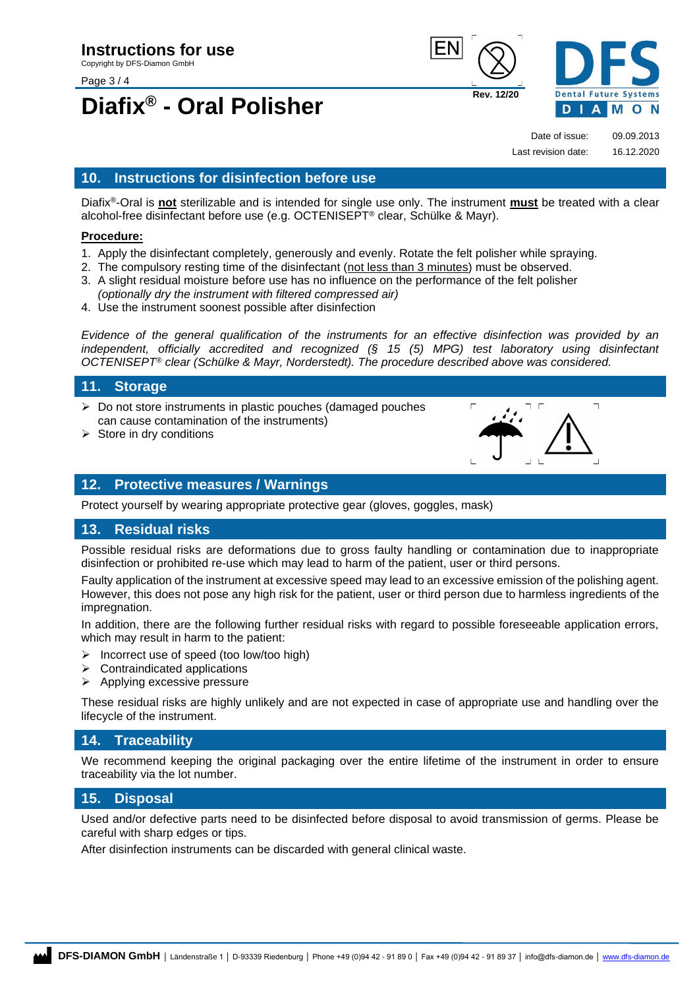Page 3 / 4

# **Diafix® - Oral Polisher Rev. 12/20**





Date of issue: 09.09.2013 Last revision date: 16.12.2020

### <span id="page-2-0"></span>**10. Instructions for disinfection before use**

Diafix®-Oral is **not** sterilizable and is intended for single use only. The instrument **must** be treated with a clear alcohol-free disinfectant before use (e.g. OCTENISEPT® clear, Schülke & Mayr).

#### **Procedure:**

- 1. Apply the disinfectant completely, generously and evenly. Rotate the felt polisher while spraying.
- 2. The compulsory resting time of the disinfectant (not less than 3 minutes) must be observed.
- 3. A slight residual moisture before use has no influence on the performance of the felt polisher *(optionally dry the instrument with filtered compressed air)*
- 4. Use the instrument soonest possible after disinfection

*Evidence of the general qualification of the instruments for an effective disinfection was provided by an independent, officially accredited and recognized (§ 15 (5) MPG) test laboratory using disinfectant OCTENISEPT® clear (Schülke & Mayr, Norderstedt). The procedure described above was considered.*

#### <span id="page-2-1"></span>**11. Storage**

- ➢ Do not store instruments in plastic pouches (damaged pouches can cause contamination of the instruments)
- $\triangleright$  Store in dry conditions



#### <span id="page-2-2"></span>**12. Protective measures / Warnings**

Protect yourself by wearing appropriate protective gear (gloves, goggles, mask)

#### <span id="page-2-3"></span>**13. Residual risks**

Possible residual risks are deformations due to gross faulty handling or contamination due to inappropriate disinfection or prohibited re-use which may lead to harm of the patient, user or third persons.

Faulty application of the instrument at excessive speed may lead to an excessive emission of the polishing agent. However, this does not pose any high risk for the patient, user or third person due to harmless ingredients of the impregnation.

In addition, there are the following further residual risks with regard to possible foreseeable application errors, which may result in harm to the patient:

- $\triangleright$  Incorrect use of speed (too low/too high)
- $\triangleright$  Contraindicated applications
- ➢ Applying excessive pressure

These residual risks are highly unlikely and are not expected in case of appropriate use and handling over the lifecycle of the instrument.

#### <span id="page-2-4"></span>**14. Traceability**

We recommend keeping the original packaging over the entire lifetime of the instrument in order to ensure traceability via the lot number.

### <span id="page-2-5"></span>**15. Disposal**

Used and/or defective parts need to be disinfected before disposal to avoid transmission of germs. Please be careful with sharp edges or tips.

After disinfection instruments can be discarded with general clinical waste.